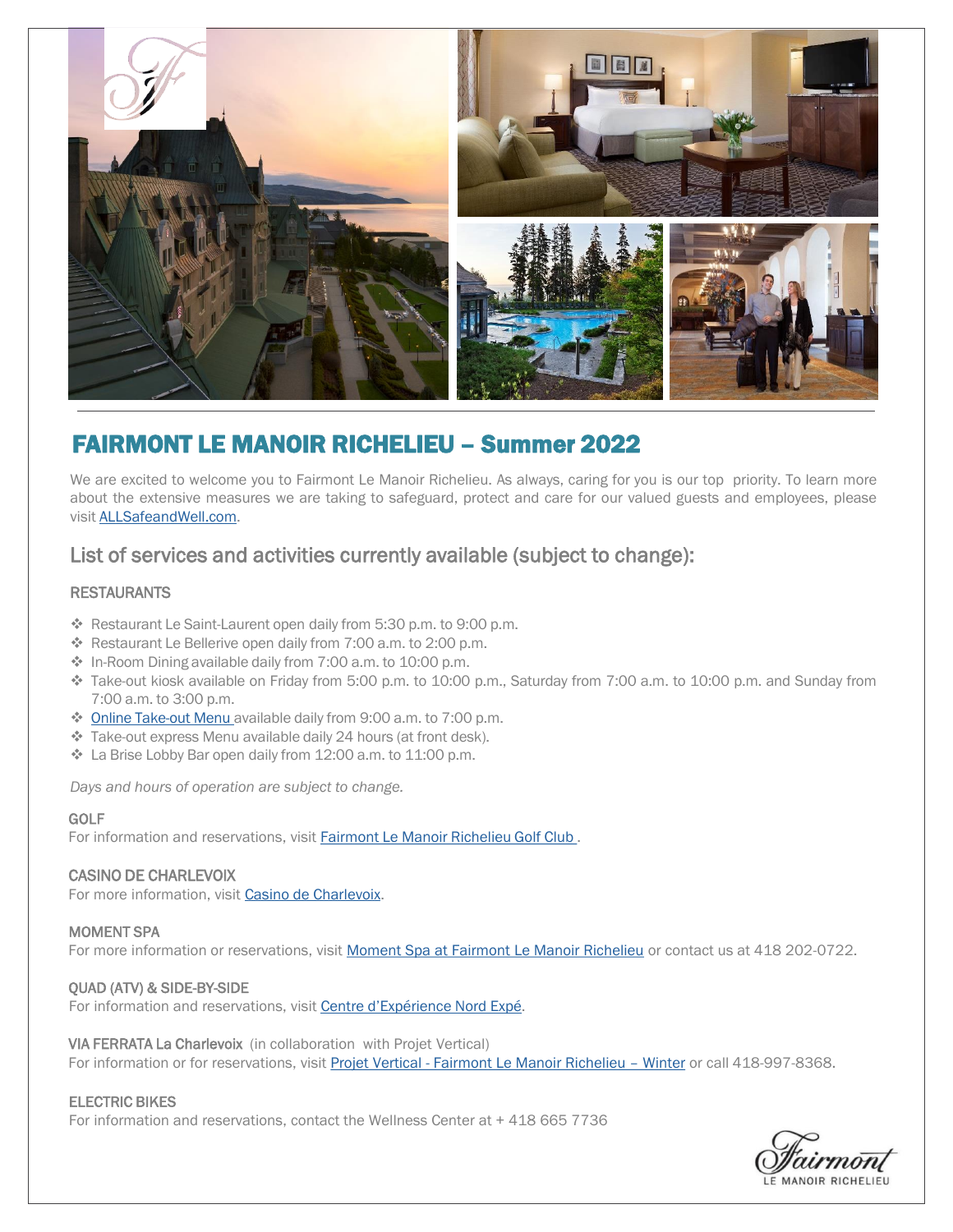

## FAIRMONT LE MANOIR RICHELIEU – Summer 2022

We are excited to welcome you to Fairmont Le Manoir Richelieu. As always, caring for you is our top priority. To learn more about the extensive measures we are taking to safeguard, protect and care for our valued guests and employees, please visit [ALLSafeandWell.com](https://www.allsafeandwell.com/).

### List of services and activities currently available (subject to change):

#### **RESTAURANTS**

- \* Restaurant Le Saint-Laurent open daily from 5:30 p.m. to 9:00 p.m.
- \* Restaurant Le Bellerive open daily from 7:00 a.m. to 2:00 p.m.
- In-Room Dining available daily from 7:00 a.m. to 10:00 p.m.
- Take-out kiosk available on Friday from 5:00 p.m. to 10:00 p.m., Saturday from 7:00 a.m. to 10:00 p.m. and Sunday from 7:00 a.m. to 3:00 p.m.
- ◆ Online [Take-out](https://fairmontlemanoirrichelieu.order-online.ai/#/) Menu available daily from 9:00 a.m. to 7:00 p.m.
- \* Take-out express Menu available daily 24 hours (at front desk).
- La Brise Lobby Bar open daily from 12:00 a.m. to 11:00 p.m.

*Days and hours of operation are subject to change.*

#### GOLF

For information and reservations, visit [Fairmont Le Manoir Richelieu Golf Club .](https://www.fairmont.fr/richelieu-charlevoix/golf/club-de-golf-fairmont-le-manoir-richelieu/)

#### CASINO DE CHARLEVOIX

For more information, visit [Casino de Charlevoix.](https://casinos.lotoquebec.com/fr/charlevoix/accueil)

#### MOMENT SPA

For more information or reservations, visit [Moment Spa at Fairmont Le Manoir Richelieu](https://www.fairmont.com/richelieu-charlevoix/spa/moment-spa/) or contact us at 418 202-0722.

#### QUAD (ATV) & SIDE-BY-SIDE

For information and reservations, visit [Centre d'Expérience Nord](https://nordexpe.com/reservation-en-ligne/) Expé.

#### VIA FERRATA La Charlevoix (in collaboration with Projet Vertical)

For information or for reservations, visit Projet Vertical - [Fairmont Le Manoir Richelieu](https://projetvertical.com/en/online-booking-manoir-winter-2/) - Winter or call 418-997-8368.

#### ELECTRIC BIKES

For information and reservations, contact the Wellness Center at + 418 665 7736